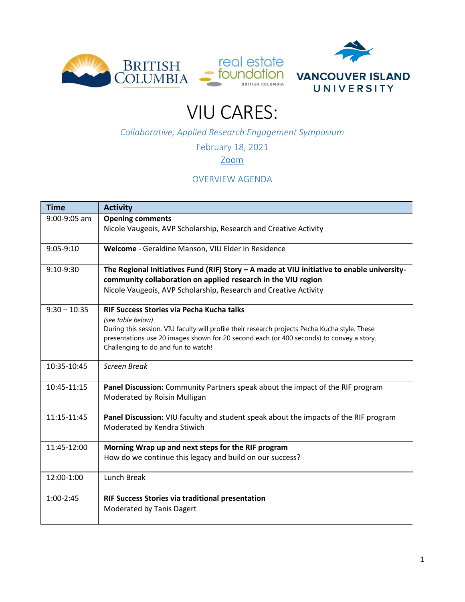



## VIU CARES:

*Collaborative, Applied Research Engagement Symposium*

February 18, 2021

[Zoom](https://viu.zoom.us/j/5143605700?pwd=cTY3OStiM0JmWGsxQS9XOUZ3NjVUQT09)

## OVERVIEW AGENDA

| <b>Time</b>    | <b>Activity</b>                                                                                |  |  |
|----------------|------------------------------------------------------------------------------------------------|--|--|
| $9:00-9:05$ am | <b>Opening comments</b>                                                                        |  |  |
|                | Nicole Vaugeois, AVP Scholarship, Research and Creative Activity                               |  |  |
| 9:05-9:10      | Welcome - Geraldine Manson, VIU Elder in Residence                                             |  |  |
| 9:10-9:30      | The Regional Initiatives Fund (RIF) Story - A made at VIU initiative to enable university-     |  |  |
|                | community collaboration on applied research in the VIU region                                  |  |  |
|                | Nicole Vaugeois, AVP Scholarship, Research and Creative Activity                               |  |  |
| $9:30 - 10:35$ | RIF Success Stories via Pecha Kucha talks<br>(see table below)                                 |  |  |
|                | During this session, VIU faculty will profile their research projects Pecha Kucha style. These |  |  |
|                | presentations use 20 images shown for 20 second each (or 400 seconds) to convey a story.       |  |  |
|                | Challenging to do and fun to watch!                                                            |  |  |
| 10:35-10:45    | <b>Screen Break</b>                                                                            |  |  |
| 10:45-11:15    | Panel Discussion: Community Partners speak about the impact of the RIF program                 |  |  |
|                | Moderated by Roisin Mulligan                                                                   |  |  |
| $11:15-11:45$  | Panel Discussion: VIU faculty and student speak about the impacts of the RIF program           |  |  |
|                | Moderated by Kendra Stiwich                                                                    |  |  |
| 11:45-12:00    | Morning Wrap up and next steps for the RIF program                                             |  |  |
|                | How do we continue this legacy and build on our success?                                       |  |  |
| 12:00-1:00     | <b>Lunch Break</b>                                                                             |  |  |
| $1:00-2:45$    | RIF Success Stories via traditional presentation                                               |  |  |
|                | Moderated by Tanis Dagert                                                                      |  |  |
|                |                                                                                                |  |  |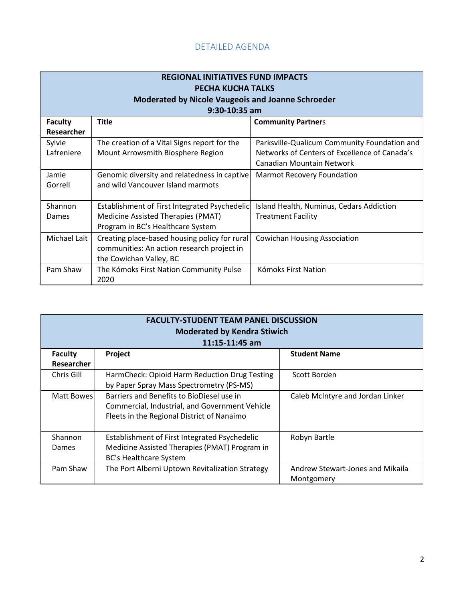## DETAILED AGENDA

| <b>REGIONAL INITIATIVES FUND IMPACTS</b><br><b>PECHA KUCHA TALKS</b><br><b>Moderated by Nicole Vaugeois and Joanne Schroeder</b> |                                               |                                               |  |  |  |
|----------------------------------------------------------------------------------------------------------------------------------|-----------------------------------------------|-----------------------------------------------|--|--|--|
| $9:30-10:35$ am                                                                                                                  |                                               |                                               |  |  |  |
| <b>Faculty</b>                                                                                                                   | <b>Title</b>                                  | <b>Community Partners</b>                     |  |  |  |
| Researcher                                                                                                                       |                                               |                                               |  |  |  |
| Sylvie                                                                                                                           | The creation of a Vital Signs report for the  | Parksville-Qualicum Community Foundation and  |  |  |  |
| Lafreniere                                                                                                                       | Mount Arrowsmith Biosphere Region             | Networks of Centers of Excellence of Canada's |  |  |  |
|                                                                                                                                  |                                               | Canadian Mountain Network                     |  |  |  |
| Jamie                                                                                                                            | Genomic diversity and relatedness in captive  | <b>Marmot Recovery Foundation</b>             |  |  |  |
| Gorrell                                                                                                                          | and wild Vancouver Island marmots             |                                               |  |  |  |
| Shannon                                                                                                                          | Establishment of First Integrated Psychedelic | Island Health, Numinus, Cedars Addiction      |  |  |  |
| Dames                                                                                                                            | Medicine Assisted Therapies (PMAT)            | <b>Treatment Facility</b>                     |  |  |  |
|                                                                                                                                  | Program in BC's Healthcare System             |                                               |  |  |  |
| Michael Lait                                                                                                                     | Creating place-based housing policy for rural | <b>Cowichan Housing Association</b>           |  |  |  |
|                                                                                                                                  | communities: An action research project in    |                                               |  |  |  |
|                                                                                                                                  | the Cowichan Valley, BC                       |                                               |  |  |  |
| Pam Shaw                                                                                                                         | The Kómoks First Nation Community Pulse       | Kómoks First Nation                           |  |  |  |
|                                                                                                                                  | 2020                                          |                                               |  |  |  |

| <b>FACULTY-STUDENT TEAM PANEL DISCUSSION</b><br><b>Moderated by Kendra Stiwich</b><br>$11:15 - 11:45$ am |                                                 |                                  |  |  |
|----------------------------------------------------------------------------------------------------------|-------------------------------------------------|----------------------------------|--|--|
| <b>Faculty</b>                                                                                           | Project                                         | <b>Student Name</b>              |  |  |
| Researcher                                                                                               |                                                 |                                  |  |  |
| Chris Gill                                                                                               | HarmCheck: Opioid Harm Reduction Drug Testing   | Scott Borden                     |  |  |
|                                                                                                          | by Paper Spray Mass Spectrometry (PS-MS)        |                                  |  |  |
| Matt Bowes                                                                                               | Barriers and Benefits to BioDiesel use in       | Caleb McIntyre and Jordan Linker |  |  |
|                                                                                                          | Commercial, Industrial, and Government Vehicle  |                                  |  |  |
|                                                                                                          | Fleets in the Regional District of Nanaimo      |                                  |  |  |
|                                                                                                          |                                                 |                                  |  |  |
| Shannon                                                                                                  | Establishment of First Integrated Psychedelic   | Robyn Bartle                     |  |  |
| Dames                                                                                                    | Medicine Assisted Therapies (PMAT) Program in   |                                  |  |  |
|                                                                                                          | BC's Healthcare System                          |                                  |  |  |
| Pam Shaw                                                                                                 | The Port Alberni Uptown Revitalization Strategy | Andrew Stewart-Jones and Mikaila |  |  |
|                                                                                                          |                                                 | Montgomery                       |  |  |